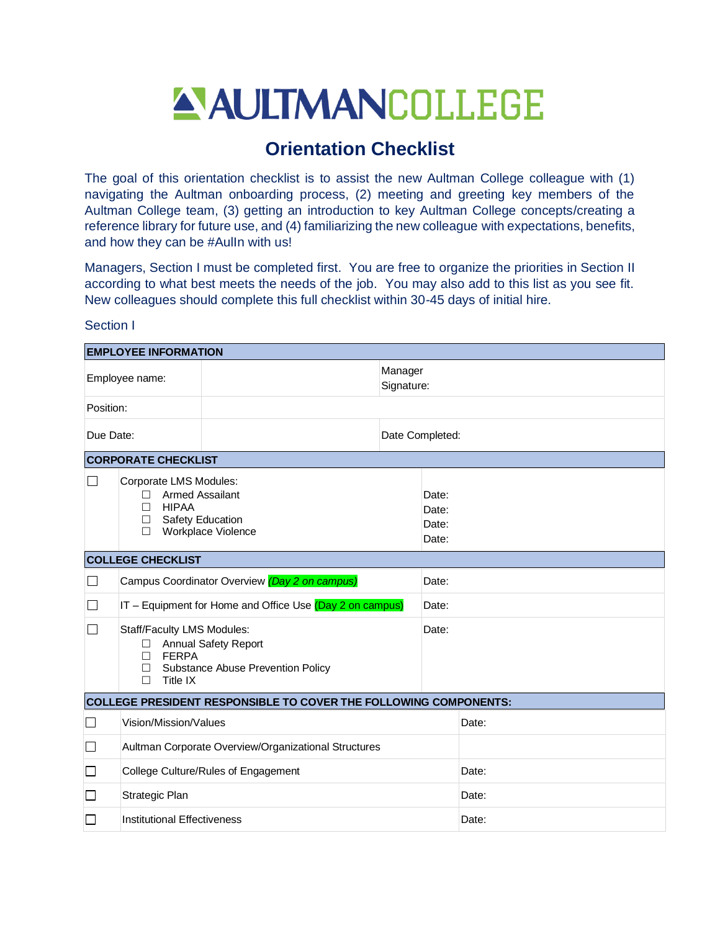# ANITMANCOLLEGE

## **Orientation Checklist**

The goal of this orientation checklist is to assist the new Aultman College colleague with (1) navigating the Aultman onboarding process, (2) meeting and greeting key members of the Aultman College team, (3) getting an introduction to key Aultman College concepts/creating a reference library for future use, and (4) familiarizing the new colleague with expectations, benefits, and how they can be #AulIn with us!

Managers, Section I must be completed first. You are free to organize the priorities in Section II according to what best meets the needs of the job. You may also add to this list as you see fit. New colleagues should complete this full checklist within 30-45 days of initial hire.

#### Section I

| <b>EMPLOYEE INFORMATION</b> |                                                                                                                                                               |                                                                         |                       |                                  |       |  |
|-----------------------------|---------------------------------------------------------------------------------------------------------------------------------------------------------------|-------------------------------------------------------------------------|-----------------------|----------------------------------|-------|--|
| Employee name:              |                                                                                                                                                               |                                                                         | Manager<br>Signature: |                                  |       |  |
| Position:                   |                                                                                                                                                               |                                                                         |                       |                                  |       |  |
| Due Date:                   |                                                                                                                                                               |                                                                         | Date Completed:       |                                  |       |  |
|                             | <b>CORPORATE CHECKLIST</b>                                                                                                                                    |                                                                         |                       |                                  |       |  |
| $\blacksquare$              | Corporate LMS Modules:<br><b>Armed Assailant</b><br>П<br><b>HIPAA</b><br>П<br>Safety Education<br>$\Box$<br>Workplace Violence<br>П                           |                                                                         |                       | Date:<br>Date:<br>Date:<br>Date: |       |  |
|                             | <b>COLLEGE CHECKLIST</b>                                                                                                                                      |                                                                         |                       |                                  |       |  |
| $\Box$                      |                                                                                                                                                               | Campus Coordinator Overview (Day 2 on campus)                           |                       | Date:                            |       |  |
|                             |                                                                                                                                                               | IT - Equipment for Home and Office Use (Day 2 on campus)                |                       | Date:                            |       |  |
|                             | Staff/Faculty LMS Modules:<br><b>Annual Safety Report</b><br>$\Box$<br><b>FERPA</b><br>П<br>Substance Abuse Prevention Policy<br>$\Box$<br>$\Box$<br>Title IX |                                                                         |                       | Date:                            |       |  |
|                             |                                                                                                                                                               | <b>COLLEGE PRESIDENT RESPONSIBLE TO COVER THE FOLLOWING COMPONENTS:</b> |                       |                                  |       |  |
| $\Box$                      | Vision/Mission/Values                                                                                                                                         |                                                                         |                       | Date:                            |       |  |
| □                           |                                                                                                                                                               | Aultman Corporate Overview/Organizational Structures                    |                       |                                  |       |  |
| $\Box$                      |                                                                                                                                                               | College Culture/Rules of Engagement                                     |                       |                                  | Date: |  |
| $\Box$                      | Strategic Plan                                                                                                                                                |                                                                         |                       |                                  | Date: |  |
| П                           | Institutional Effectiveness                                                                                                                                   |                                                                         |                       |                                  | Date: |  |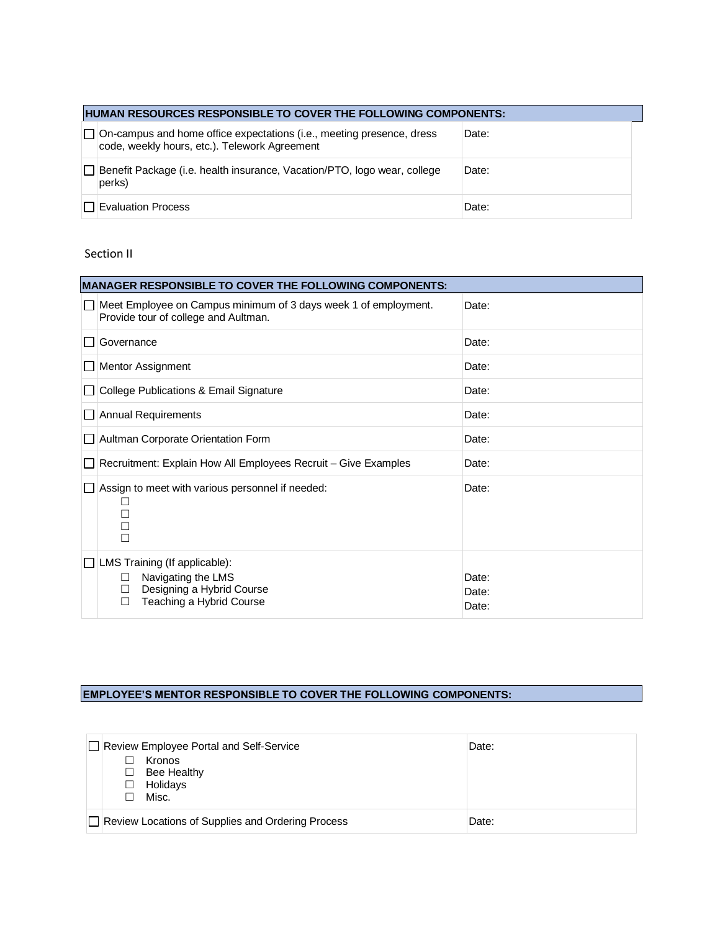| HUMAN RESOURCES RESPONSIBLE TO COVER THE FOLLOWING COMPONENTS: |                                                                                                                               |       |  |  |
|----------------------------------------------------------------|-------------------------------------------------------------------------------------------------------------------------------|-------|--|--|
|                                                                | $\Box$ On-campus and home office expectations (i.e., meeting presence, dress<br>code, weekly hours, etc.). Telework Agreement | Date: |  |  |
|                                                                | □ Benefit Package (i.e. health insurance, Vacation/PTO, logo wear, college<br>perks)                                          | Date: |  |  |
|                                                                | <b>TEvaluation Process</b>                                                                                                    | Date: |  |  |

#### Section II

| <b>MANAGER RESPONSIBLE TO COVER THE FOLLOWING COMPONENTS:</b> |                                                                                                                             |                         |  |  |
|---------------------------------------------------------------|-----------------------------------------------------------------------------------------------------------------------------|-------------------------|--|--|
|                                                               | Meet Employee on Campus minimum of 3 days week 1 of employment.<br>Provide tour of college and Aultman.                     | Date:                   |  |  |
|                                                               | Governance                                                                                                                  | Date:                   |  |  |
|                                                               | <b>Mentor Assignment</b>                                                                                                    | Date:                   |  |  |
|                                                               | College Publications & Email Signature                                                                                      | Date:                   |  |  |
|                                                               | Annual Requirements                                                                                                         | Date:                   |  |  |
|                                                               | Aultman Corporate Orientation Form                                                                                          | Date:                   |  |  |
|                                                               | Recruitment: Explain How All Employees Recruit - Give Examples                                                              | Date:                   |  |  |
|                                                               | Assign to meet with various personnel if needed:<br>$\Box$<br>$\Box$                                                        | Date:                   |  |  |
|                                                               | LMS Training (If applicable):<br>Navigating the LMS<br>□<br>Designing a Hybrid Course<br>□<br>Teaching a Hybrid Course<br>П | Date:<br>Date:<br>Date: |  |  |

### **EMPLOYEE'S MENTOR RESPONSIBLE TO COVER THE FOLLOWING COMPONENTS:**

|  | □ Review Employee Portal and Self-Service<br>Date:<br><b>Kronos</b><br>Bee Healthy<br>П<br>Holidays<br>$\blacksquare$<br>Misc. |  |
|--|--------------------------------------------------------------------------------------------------------------------------------|--|
|  | Review Locations of Supplies and Ordering Process<br>Date:                                                                     |  |